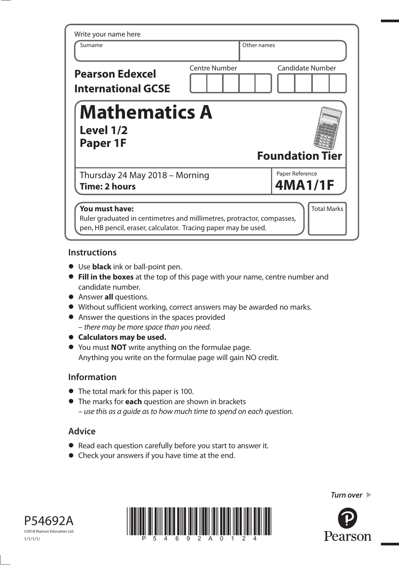| Write your name here<br>Surname                                                                                                                            |                      | Other names                |
|------------------------------------------------------------------------------------------------------------------------------------------------------------|----------------------|----------------------------|
| <b>Pearson Edexcel</b><br><b>International GCSE</b>                                                                                                        | <b>Centre Number</b> | <b>Candidate Number</b>    |
| <b>Mathematics A</b><br>Level 1/2<br>Paper 1F                                                                                                              |                      | <b>Foundation Tier</b>     |
| Thursday 24 May 2018 - Morning<br><b>Time: 2 hours</b>                                                                                                     |                      | Paper Reference<br>4MA1/1F |
| You must have:<br>Ruler graduated in centimetres and millimetres, protractor, compasses,<br>pen, HB pencil, eraser, calculator. Tracing paper may be used. |                      | <b>Total Marks</b>         |

### **Instructions**

- Use **black** ink or ball-point pen.
- **Fill in the boxes** at the top of this page with your name, centre number and candidate number.
- Answer **all** questions.
- Answer **all** questions.<br>● Without sufficient working, correct answers may be awarded no marks.
- Without sufficient working, correct answers m<br>• Answer the questions in the spaces provided – there may be more space than you need.
- **Calculators may be used.**
- You must **NOT** write anything on the formulae page. Anything you write on the formulae page will gain NO credit.

## **Information**

- The total mark for this paper is 100.
- The marks for **each** question are shown in brackets – use this as a guide as to how much time to spend on each question.

# **Advice**

- Read each question carefully before you start to answer it.
- Check your answers if you have time at the end.





*Turn over* 

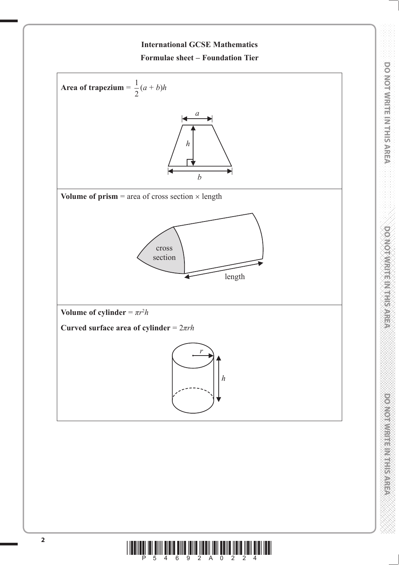

**DO NOT WRITE IN THIS AREA DO NOT WRITE IN THIS AREA DO NOT WRITE IN THIS AREA DO NOT WRITE IN THIS AREA DO NOT WRITE IN THIS AREA DO NOT WRITE IN THIS AREA DO NOT WRITE IN THIS AREA DO NOT WRITE IN THIS AREA DO NOT WRITE** 

**DOMOVIVITIER NEEDER** 

**DOOM ORIGINAL REGISTER** 

DO NOT WRITE IN THIS AREA

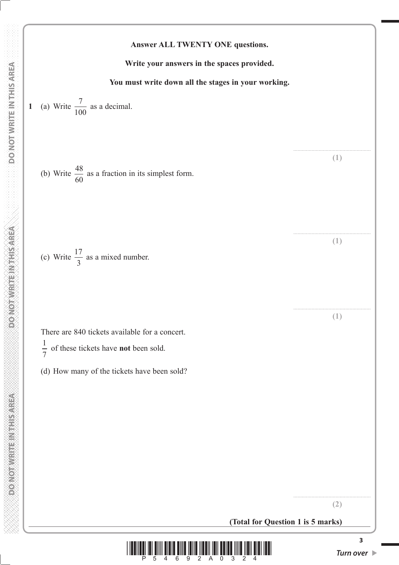

 **DO NOT WRITE IN THIS AREA DO NOT WRITE IN THIS AREA DO NOT WRITE IN THIS AREA DO NOT WRITE IN THIS AREA DO NOT** 

**RESPONDED MEANWHIPS ON STRUCK** 

**DOMOTAWRITE IN THIS AREA** 

**DO NOT WRITE IN THIS AREA**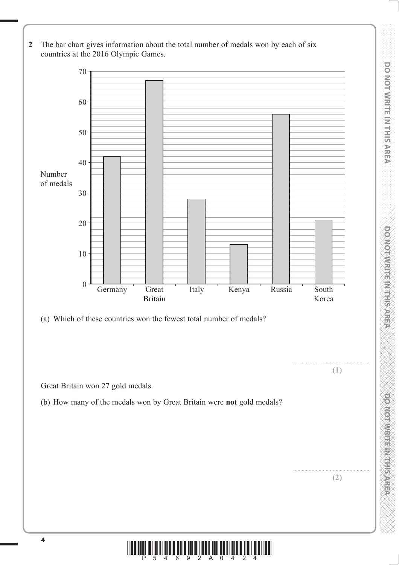

....................................................... **(1)**

....................................................... **(2)**

**DO NOT WRITE IN THIS AREA DO NOT WRITE IN THIS AREA DO NOT WRITE IN THIS AREA DO NOT WRITE IN THIS AREA DO NOT WRITE IN THIS AREA DO NOT WRITE IN THIS AREA DO NOT WRITE IN THIS AREA DO NOT WRITE IN THIS AREA DO NOT WRITE DO NOTWRITE IN THIS AREA** 

DO NOT WRITE IN THIS AREA

**DO NOT WRITEIN THE AREA** 

Great Britain won 27 gold medals.

(b) How many of the medals won by Great Britain were **not** gold medals?

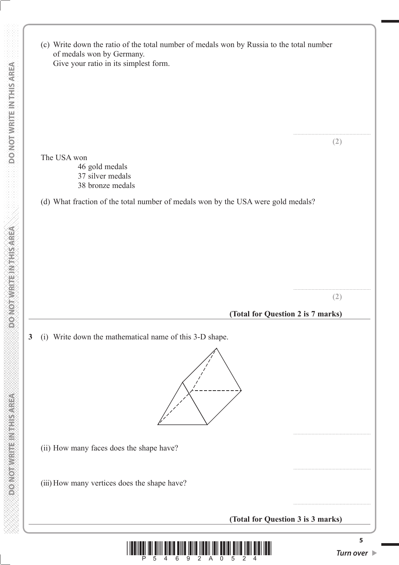**5** (c) Write down the ratio of the total number of medals won by Russia to the total number of medals won by Germany. Give your ratio in its simplest form. ....................................................... **(2)** The USA won 46 gold medals 37 silver medals 38 bronze medals (d) What fraction of the total number of medals won by the USA were gold medals? ....................................................... **(2) (Total for Question 2 is 7 marks) 3** (i) Write down the mathematical name of this 3-D shape. ....................................................... (ii) How many faces does the shape have? ....................................................... (iii) How many vertices does the shape have? ....................................................... **(Total for Question 3 is 3 marks)**

 **DO NOT WRITE IN THIS AREA DO NOT WRITE IN THIS AREA DO NOT WRITE IN THIS AREA DO NOT WRITE IN THIS AREA DO NOT** 

**MONOTHER REPAIRING CONFORM** 

**ABOVA CLARATE IN STRACTED** 

**DO NOT WRITE IN THIS AREA** 

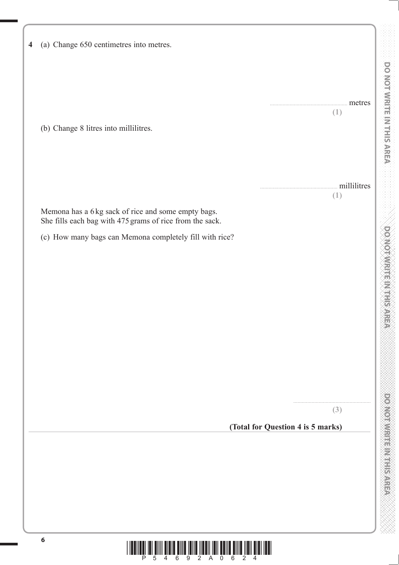| $\overline{\mathbf{4}}$ | (a) Change 650 centimetres into metres.                                                                        |             |                                  |
|-------------------------|----------------------------------------------------------------------------------------------------------------|-------------|----------------------------------|
|                         |                                                                                                                |             |                                  |
|                         |                                                                                                                |             |                                  |
|                         |                                                                                                                |             |                                  |
|                         |                                                                                                                | metres      |                                  |
|                         |                                                                                                                | (1)         |                                  |
|                         | (b) Change 8 litres into millilitres.                                                                          |             |                                  |
|                         |                                                                                                                |             | <b>DO NOT WRITE IN THIS AREA</b> |
|                         |                                                                                                                |             |                                  |
|                         |                                                                                                                |             |                                  |
|                         |                                                                                                                | millilitres |                                  |
|                         |                                                                                                                | (1)         |                                  |
|                         | Memona has a 6kg sack of rice and some empty bags.<br>She fills each bag with 475 grams of rice from the sack. |             |                                  |
|                         | (c) How many bags can Memona completely fill with rice?                                                        |             | <b>DOMOTAME INTERFERE</b>        |
|                         |                                                                                                                |             |                                  |
|                         |                                                                                                                |             |                                  |
|                         |                                                                                                                |             |                                  |
|                         |                                                                                                                |             |                                  |
|                         |                                                                                                                |             |                                  |
|                         |                                                                                                                |             |                                  |
|                         |                                                                                                                |             |                                  |
|                         |                                                                                                                |             |                                  |
|                         |                                                                                                                |             |                                  |
|                         |                                                                                                                |             |                                  |
|                         |                                                                                                                |             |                                  |
|                         |                                                                                                                | (3)         |                                  |
|                         | (Total for Question 4 is 5 marks)                                                                              |             |                                  |
|                         |                                                                                                                |             |                                  |
|                         |                                                                                                                |             |                                  |
|                         |                                                                                                                |             | <b>PONDATION CONTROL</b>         |
|                         |                                                                                                                |             |                                  |
|                         |                                                                                                                |             |                                  |
|                         |                                                                                                                |             |                                  |
|                         |                                                                                                                |             |                                  |

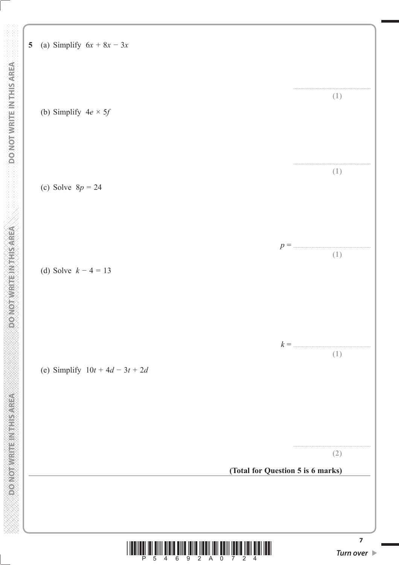| (a) Simplify $6x + 8x - 3x$<br>$5\overline{)}$ |                                          |
|------------------------------------------------|------------------------------------------|
| (b) Simplify $4e \times 5f$                    | (1)                                      |
| (c) Solve $8p = 24$                            | (1)                                      |
| (d) Solve $k - 4 = 13$                         | $p = \dots$<br>(1)                       |
| (e) Simplify $10t + 4d - 3t + 2d$              | (1)                                      |
|                                                | (2)<br>(Total for Question 5 is 6 marks) |

 **DO NOT WRITE IN THIS AREA DO NOT WRITE IN THIS AREA DO NOT WRITE IN THIS AREA DO NOT WRITE IN THIS AREA DO NOT** 

**DONOTWEITEIN THIS AREA** 

DO NOT WRITE IN THIS AREA

**DO NOT WRITE IN THIS AREA** 



**7**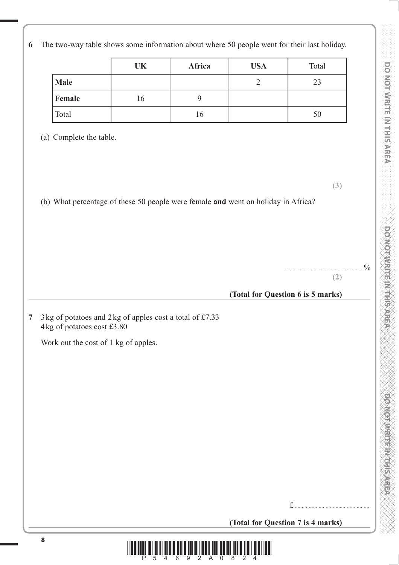**6** The two-way table shows some information about where 50 people went for their last holiday.

|             | UK | Africa | <b>USA</b> | Total |
|-------------|----|--------|------------|-------|
| <b>Male</b> |    |        |            | 23    |
| Female      | 16 |        |            |       |
| Total       |    | 16     |            | 50    |

#### (a) Complete the table.

**(3)**

**(2)**

(b) What percentage of these 50 people were female **and** went on holiday in Africa?

....................................................... %

### **(Total for Question 6 is 5 marks)**

**7** 3 kg of potatoes and 2 kg of apples cost a total of £7.33 4 kg of potatoes cost £3.80

Work out the cost of 1 kg of apples.

DO NOT WRITE IN THIS AREA

DOMOTWRITE METERS AREA

 $f_{\perp}$ 

**(Total for Question 7 is 4 marks)**

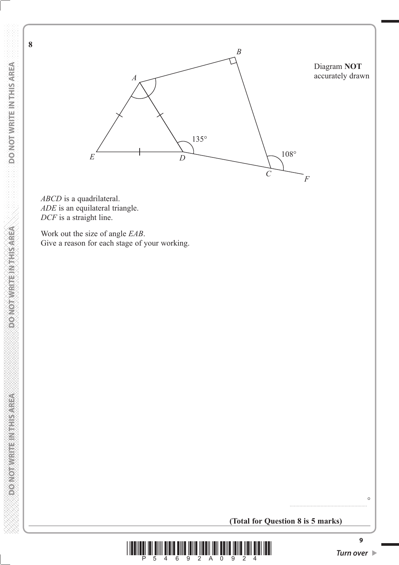**DOMORWINER NATHS AREA** 

**DONOT WRITEINTHIS AREA** 

**8**



*ABCD* is a quadrilateral. *ADE* is an equilateral triangle. *DCF* is a straight line.

 Work out the size of angle *EAB*. Give a reason for each stage of your working.

**(Total for Question 8 is 5 marks)**



.......................................................°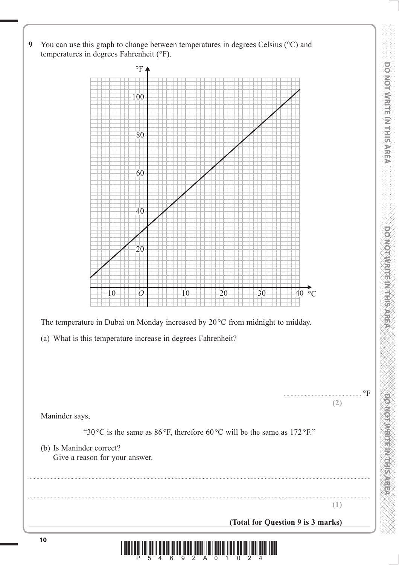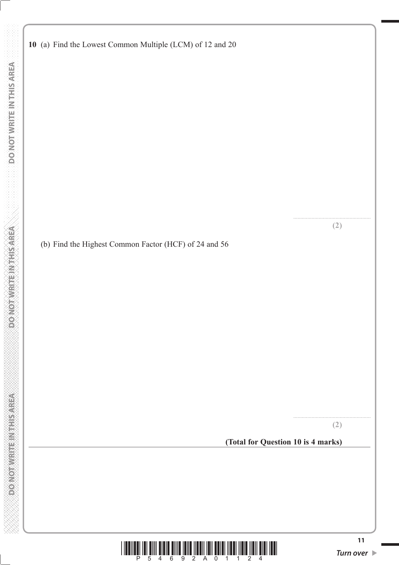**10** (a) Find the Lowest Common Multiple (LCM) of 12 and 20

(b) Find the Highest Common Factor (HCF) of 24 and 56

....................................................... **(2)**

....................................................... **(2)**

# **(Total for Question 10 is 4 marks)**

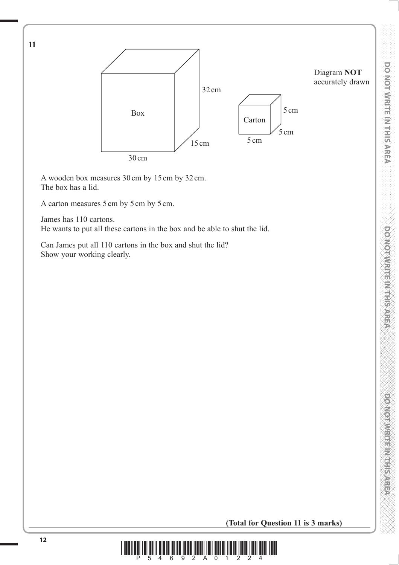**11**



 A wooden box measures 30 cm by 15 cm by 32 cm. The box has a lid.

A carton measures 5 cm by 5 cm by 5 cm.

 James has 110 cartons. He wants to put all these cartons in the box and be able to shut the lid.

 Can James put all 110 cartons in the box and shut the lid? Show your working clearly.

**(Total for Question 11 is 3 marks)**

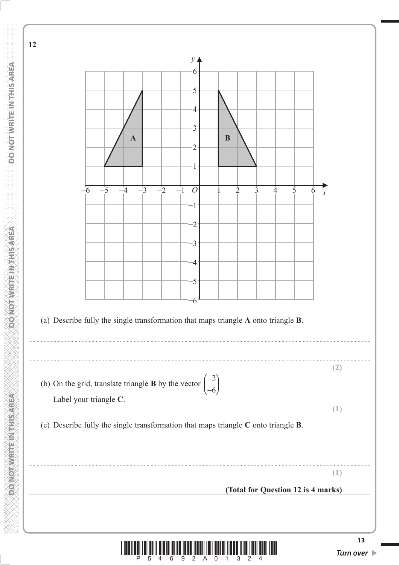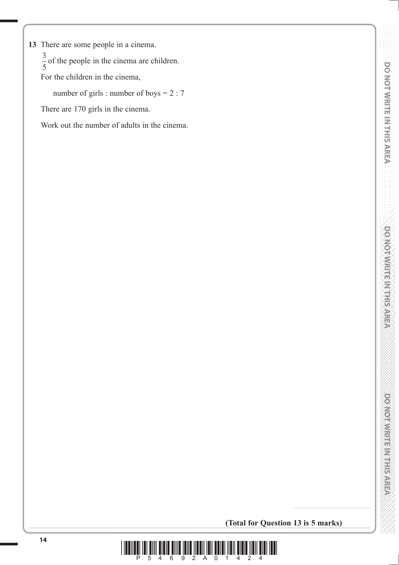**13** There are some people in a cinema.

3 5 of the people in the cinema are children.

For the children in the cinema,

number of girls : number of boys = 2 : 7

There are 170 girls in the cinema.

Work out the number of adults in the cinema.

**(Total for Question 13 is 5 marks)**

.......................................................

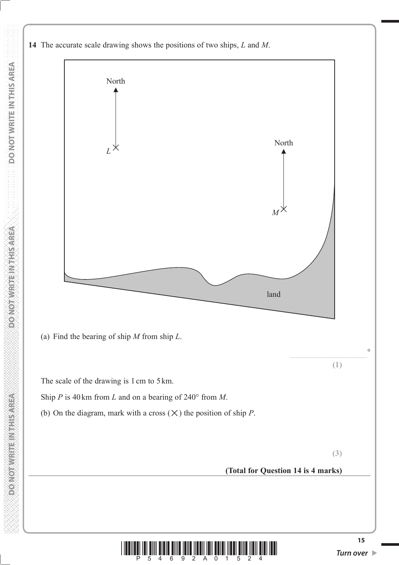



**DONOT WRITEINTHIS AREA**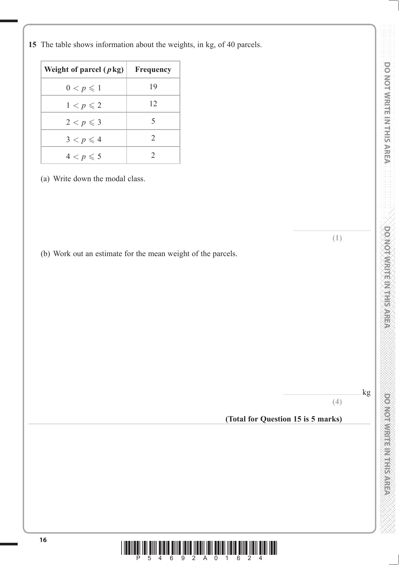**15** The table shows information about the weights, in kg, of 40 parcels.

| Weight of parcel $(p \text{ kg})$ | <b>Frequency</b>            |
|-----------------------------------|-----------------------------|
| $0 < p \leqslant 1$               | 19                          |
| $1 < p \leqslant 2$               | 12                          |
| $2 < p \leqslant 3$               | 5                           |
| $3 < p \leqslant 4$               | $\mathcal{D}_{\mathcal{L}}$ |
| $4 < p \leqslant 5$               |                             |

(a) Write down the modal class.

(b) Work out an estimate for the mean weight of the parcels.

 $kg$ **(4)**

....................................................... **(1)**

## **(Total for Question 15 is 5 marks)**



**DOOM OF A HEATHER WATER** 

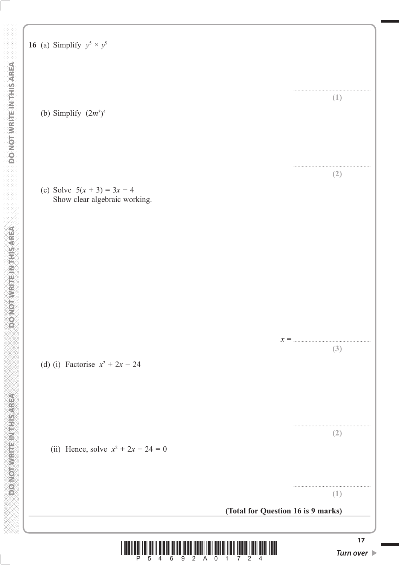**16** (a) Simplify  $y^5 \times y^9$ ....................................................... **(1)** (b) Simplify  $(2m^3)^4$ ....................................................... **(2)** (c) Solve  $5(x + 3) = 3x - 4$  Show clear algebraic working. *x* = ....................................................... **(3)** (d) (i) Factorise  $x^2 + 2x - 24$ ....................................................... **(2)** (ii) Hence, solve  $x^2 + 2x - 24 = 0$ ....................................................... **(1) (Total for Question 16 is 9 marks)**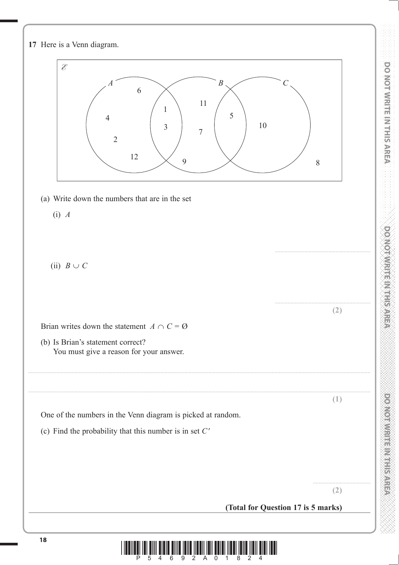

**<sup>18</sup>** \*P54692A01824\*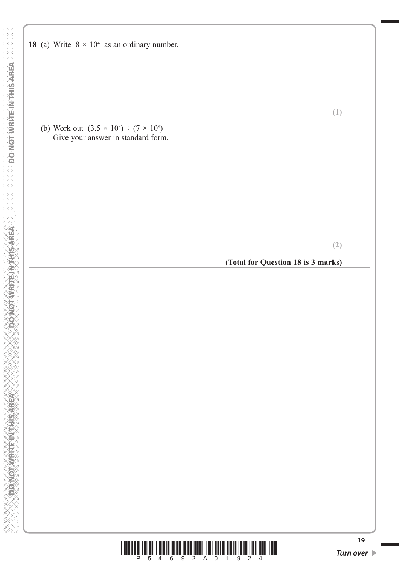

....................................................... **(1)**

....................................................... **(2)**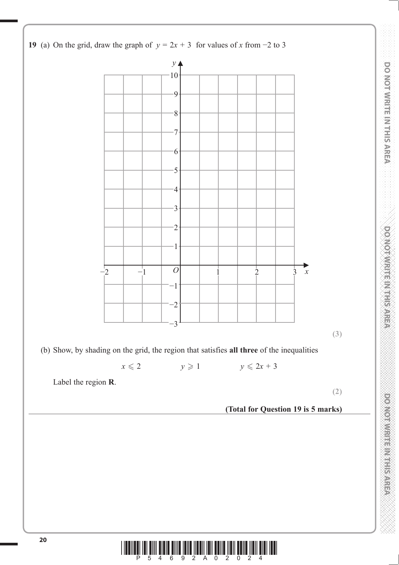

**POINT AND INTERNATIONAL PROPERTY**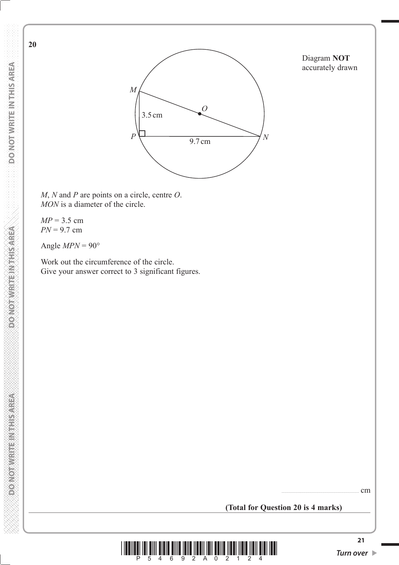

*M*, *N* and *P* are points on a circle, centre *O*. *MON* is a diameter of the circle.

*MP* = 3.5 cm *PN* = 9.7 cm

Angle  $MPN = 90^\circ$ 

 Work out the circumference of the circle. Give your answer correct to 3 significant figures. Diagram **NOT** accurately drawn

.cm

**(Total for Question 20 is 4 marks)**



**DO NOT WRITE IN THIS AREA**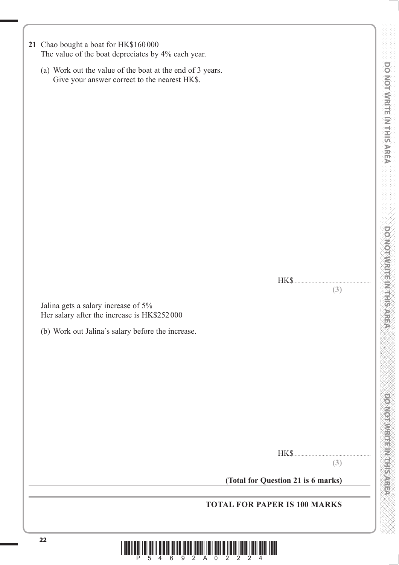|                                     | 22                                                                                 |                                    |     |
|-------------------------------------|------------------------------------------------------------------------------------|------------------------------------|-----|
| <b>TOTAL FOR PAPER IS 100 MARKS</b> |                                                                                    |                                    |     |
|                                     |                                                                                    | (Total for Question 21 is 6 marks) |     |
|                                     |                                                                                    | HKS                                | (3) |
|                                     |                                                                                    |                                    |     |
|                                     |                                                                                    |                                    |     |
|                                     |                                                                                    |                                    |     |
|                                     |                                                                                    |                                    |     |
|                                     | (b) Work out Jalina's salary before the increase.                                  |                                    |     |
|                                     | Jalina gets a salary increase of 5%<br>Her salary after the increase is HK\$252000 |                                    |     |
|                                     |                                                                                    |                                    | (3) |
|                                     |                                                                                    |                                    |     |
|                                     |                                                                                    |                                    |     |
|                                     |                                                                                    |                                    |     |
|                                     |                                                                                    |                                    |     |
|                                     |                                                                                    |                                    |     |
|                                     |                                                                                    |                                    |     |
|                                     |                                                                                    |                                    |     |
|                                     | Give your answer correct to the nearest HK\$.                                      |                                    |     |
|                                     | (a) Work out the value of the boat at the end of 3 years.                          |                                    |     |

DO NOTWRITE IN THIS AREA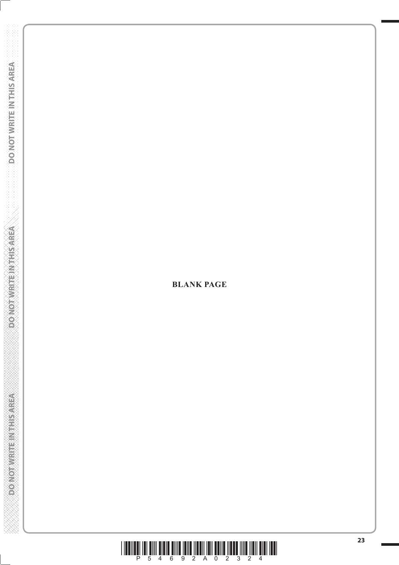

**BLANK PAGE**